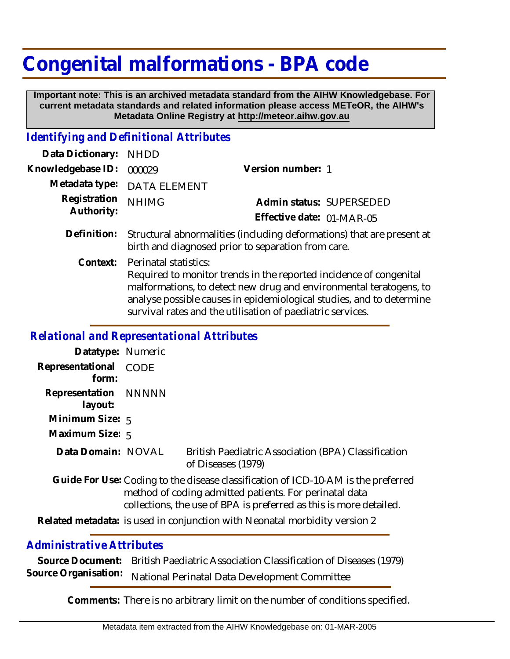# **Congenital malformations - BPA code**

 **Important note: This is an archived metadata standard from the AIHW Knowledgebase. For current metadata standards and related information please access METeOR, the AIHW's Metadata Online Registry at http://meteor.aihw.gov.au**

#### *Identifying and Definitional Attributes*

| Data Dictionary:           | <b>NHDD</b>                                                                                                                                                                                                                                                                                             |                           |  |
|----------------------------|---------------------------------------------------------------------------------------------------------------------------------------------------------------------------------------------------------------------------------------------------------------------------------------------------------|---------------------------|--|
| Knowledgebase ID:          | 000029                                                                                                                                                                                                                                                                                                  | Version number: 1         |  |
| Metadata type:             | <b>DATA ELEMENT</b>                                                                                                                                                                                                                                                                                     |                           |  |
| Registration<br>Authority: | <b>NHIMG</b>                                                                                                                                                                                                                                                                                            | Admin status: SUPERSEDED  |  |
|                            |                                                                                                                                                                                                                                                                                                         | Effective date: 01-MAR-05 |  |
| Definition:                | Structural abnormalities (including deformations) that are present at<br>birth and diagnosed prior to separation from care.                                                                                                                                                                             |                           |  |
| Context:                   | Perinatal statistics:<br>Required to monitor trends in the reported incidence of congenital<br>malformations, to detect new drug and environmental teratogens, to<br>analyse possible causes in epidemiological studies, and to determine<br>survival rates and the utilisation of paediatric services. |                           |  |

### *Relational and Representational Attributes*

| Datatype: Numeric                                                                                                                                                                                                 |                                                                            |                                                                           |  |
|-------------------------------------------------------------------------------------------------------------------------------------------------------------------------------------------------------------------|----------------------------------------------------------------------------|---------------------------------------------------------------------------|--|
| Representational<br>form:                                                                                                                                                                                         | <b>CODE</b>                                                                |                                                                           |  |
| Representation NNNNN<br>layout:                                                                                                                                                                                   |                                                                            |                                                                           |  |
| Minimum Size: $5$                                                                                                                                                                                                 |                                                                            |                                                                           |  |
| Maximum Size: 5                                                                                                                                                                                                   |                                                                            |                                                                           |  |
| Data Domain: NOVAL                                                                                                                                                                                                |                                                                            | British Paediatric Association (BPA) Classification<br>of Diseases (1979) |  |
| Guide For Use: Coding to the disease classification of ICD-10-AM is the preferred<br>method of coding admitted patients. For perinatal data<br>collections, the use of BPA is preferred as this is more detailed. |                                                                            |                                                                           |  |
|                                                                                                                                                                                                                   | Related metadata: is used in conjunction with Neonatal morbidity version 2 |                                                                           |  |

## *Administrative Attributes*

**Source Document:** British Paediatric Association Classification of Diseases (1979) Source Organisation: National Perinatal Data Development Committee

**Comments:** There is no arbitrary limit on the number of conditions specified.